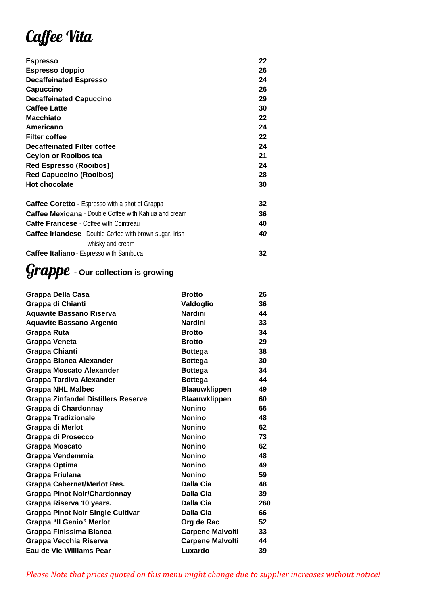# Caffee Vita

| <b>Espresso</b>                                                 | 22 |
|-----------------------------------------------------------------|----|
| Espresso doppio                                                 | 26 |
| <b>Decaffeinated Espresso</b>                                   | 24 |
| Capuccino                                                       | 26 |
| <b>Decaffeinated Capuccino</b>                                  | 29 |
| <b>Caffee Latte</b>                                             | 30 |
| <b>Macchiato</b>                                                | 22 |
| Americano                                                       | 24 |
| <b>Filter coffee</b>                                            | 22 |
| <b>Decaffeinated Filter coffee</b>                              | 24 |
| Ceylon or Rooibos tea                                           | 21 |
| <b>Red Espresso (Rooibos)</b>                                   | 24 |
| <b>Red Capuccino (Rooibos)</b>                                  | 28 |
| <b>Hot chocolate</b>                                            | 30 |
| <b>Caffee Coretto</b> - Espresso with a shot of Grappa          | 32 |
| <b>Caffee Mexicana - Double Coffee with Kahlua and cream</b>    | 36 |
| <b>Caffe Francese</b> - Coffee with Cointreau                   | 40 |
| <b>Caffee Irlandese</b> - Double Coffee with brown sugar, Irish | 40 |
| whisky and cream                                                |    |
| <b>Caffee Italiano</b> - Espresso with Sambuca                  | 32 |
|                                                                 |    |

### *Grappe* - Our collection is growing

| Grappa Della Casa                          | <b>Brotto</b>           | 26  |
|--------------------------------------------|-------------------------|-----|
| Grappa di Chianti                          | Valdoglio               | 36  |
| <b>Aquavite Bassano Riserva</b>            | <b>Nardini</b>          | 44  |
| <b>Aquavite Bassano Argento</b>            | <b>Nardini</b>          | 33  |
| Grappa Ruta                                | <b>Brotto</b>           | 34  |
| Grappa Veneta                              | <b>Brotto</b>           | 29  |
| <b>Grappa Chianti</b>                      | <b>Bottega</b>          | 38  |
| Grappa Bianca Alexander                    | <b>Bottega</b>          | 30  |
| <b>Grappa Moscato Alexander</b>            | <b>Bottega</b>          | 34  |
| <b>Grappa Tardiva Alexander</b>            | <b>Bottega</b>          | 44  |
| <b>Grappa NHL Malbec</b>                   | <b>Blaauwklippen</b>    | 49  |
| <b>Grappa Zinfandel Distillers Reserve</b> | <b>Blaauwklippen</b>    | 60  |
| Grappa di Chardonnay                       | <b>Nonino</b>           | 66  |
| <b>Grappa Tradizionale</b>                 | <b>Nonino</b>           | 48  |
| Grappa di Merlot                           | <b>Nonino</b>           | 62  |
| Grappa di Prosecco                         | <b>Nonino</b>           | 73  |
| <b>Grappa Moscato</b>                      | <b>Nonino</b>           | 62  |
| Grappa Vendemmia                           | <b>Nonino</b>           | 48  |
| Grappa Optima                              | <b>Nonino</b>           | 49  |
| Grappa Friulana                            | <b>Nonino</b>           | 59  |
| <b>Grappa Cabernet/Merlot Res.</b>         | Dalla Cia               | 48  |
| <b>Grappa Pinot Noir/Chardonnay</b>        | Dalla Cia               | 39  |
| Grappa Riserva 10 years.                   | Dalla Cia               | 260 |
| <b>Grappa Pinot Noir Single Cultivar</b>   | Dalla Cia               | 66  |
| <b>Grappa "Il Genio" Merlot</b>            | Org de Rac              | 52  |
| <b>Grappa Finissima Bianca</b>             | <b>Carpene Malvolti</b> | 33  |
| Grappa Vecchia Riserva                     | <b>Carpene Malvolti</b> | 44  |
| Eau de Vie Williams Pear                   | Luxardo                 | 39  |
|                                            |                         |     |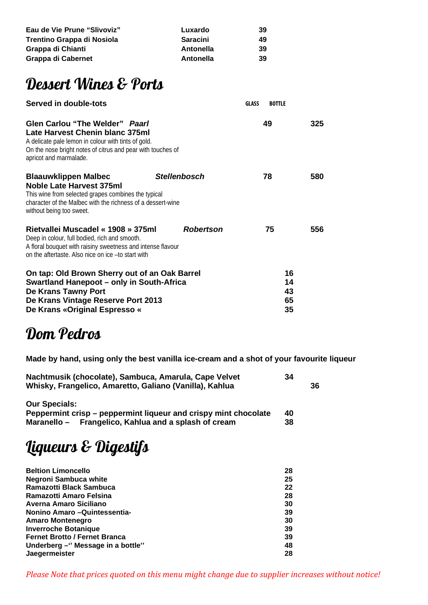| Eau de Vie Prune "Slivoviz" | Luxardo         | 39 |
|-----------------------------|-----------------|----|
| Trentino Grappa di Nosiola  | <b>Saracini</b> | 49 |
| Grappa di Chianti           | Antonella       | 39 |
| Grappa di Cabernet          | Antonella       | 39 |

### Dessert Wines & Ports

| Served in double-tots                                                                                                                                                                                                           |                     | <b>GLASS</b> | <b>BOTTLE</b>              |     |
|---------------------------------------------------------------------------------------------------------------------------------------------------------------------------------------------------------------------------------|---------------------|--------------|----------------------------|-----|
| <b>Glen Carlou "The Welder" Paarl</b><br><b>Late Harvest Chenin blanc 375ml</b><br>A delicate pale lemon in colour with tints of gold.<br>On the nose bright notes of citrus and pear with touches of<br>apricot and marmalade. |                     |              | 49                         | 325 |
| <b>Blaauwklippen Malbec</b><br><b>Noble Late Harvest 375ml</b><br>This wine from selected grapes combines the typical<br>character of the Malbec with the richness of a dessert-wine<br>without being too sweet.                | <b>Stellenbosch</b> |              | 78                         | 580 |
| Rietvallei Muscadel « 1908 » 375ml<br>Deep in colour, full bodied, rich and smooth.<br>A floral bouquet with raisiny sweetness and intense flavour<br>on the aftertaste. Also nice on ice -to start with                        | Robertson           |              | 75                         | 556 |
| On tap: Old Brown Sherry out of an Oak Barrel<br>Swartland Hanepoot – only in South-Africa<br>De Krans Tawny Port<br>De Krans Vintage Reserve Port 2013<br>De Krans «Original Espresso «                                        |                     |              | 16<br>14<br>43<br>65<br>35 |     |

#### Dom Pedros

Made by hand, using only the best vanilla ice-cream and a shot of your favourite liqueur

| Nachtmusik (chocolate), Sambuca, Amarula, Cape Velvet<br>Whisky, Frangelico, Amaretto, Galiano (Vanilla), Kahlua | 34 | 36 |
|------------------------------------------------------------------------------------------------------------------|----|----|
| <b>Our Specials:</b>                                                                                             |    |    |
| Peppermint crisp – peppermint liqueur and crispy mint chocolate                                                  | 40 |    |
| Maranello – Frangelico, Kahlua and a splash of cream                                                             | 38 |    |

# Liqueurs & Digestifs

| <b>Beltion Limoncello</b>            | 28 |
|--------------------------------------|----|
| Negroni Sambuca white                | 25 |
| Ramazotti Black Sambuca              | 22 |
| Ramazotti Amaro Felsina              | 28 |
| Averna Amaro Siciliano               | 30 |
| Nonino Amaro -Quintessentia-         | 39 |
| <b>Amaro Montenegro</b>              | 30 |
| <b>Inverroche Botanique</b>          | 39 |
| <b>Fernet Brotto / Fernet Branca</b> | 39 |
| Underberg - "Message in a bottle"    | 48 |
| <b>Jaegermeister</b>                 | 28 |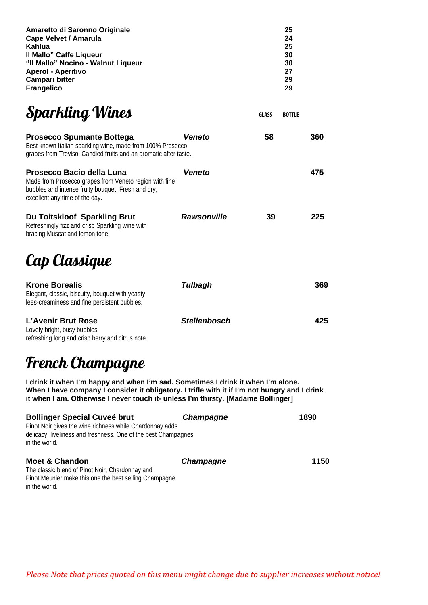| Amaretto di Saronno Originale      | 25 |
|------------------------------------|----|
| Cape Velvet / Amarula              | 24 |
| Kahlua                             | 25 |
| Il Mallo" Caffe Liqueur            | 30 |
| "Il Mallo" Nocino - Walnut Liqueur | 30 |
| <b>Aperol - Aperitivo</b>          | 27 |
| Campari bitter                     | 29 |
| <b>Frangelico</b>                  | 29 |
|                                    |    |
|                                    |    |

## Sparkling Wines

| <b>Prosecco Spumante Bottega</b><br>Best known Italian sparkling wine, made from 100% Prosecco<br>grapes from Treviso. Candied fruits and an aromatic after taste.          | <b>Veneto</b>      | 58 | 360 |
|-----------------------------------------------------------------------------------------------------------------------------------------------------------------------------|--------------------|----|-----|
| Prosecco Bacio della Luna<br>Made from Prosecco grapes from Veneto region with fine<br>bubbles and intense fruity bouquet. Fresh and dry,<br>excellent any time of the day. | Veneto             |    | 475 |
| Du Toitskloof Sparkling Brut<br>Refreshingly fizz and crisp Sparkling wine with<br>bracing Muscat and lemon tone.                                                           | <b>Rawsonville</b> | 39 | 225 |

# Cap Classique

| <b>Krone Borealis</b><br>Elegant, classic, biscuity, bouquet with yeasty<br>lees-creaminess and fine persistent bubbles. | Tulbagh             | 369 |
|--------------------------------------------------------------------------------------------------------------------------|---------------------|-----|
| L'Avenir Brut Rose<br>Lovely bright, busy bubbles,<br>refreshing long and crisp berry and citrus note.                   | <b>Stellenbosch</b> | 425 |

## French Champagne

I drink it when I'm happy and when I'm sad. Sometimes I drink it when I'm alone. When I have company I consider it obligatory. I trifle with it if I'm not hungry and I drink it when I am. Otherwise I never touch it- unless I'm thirsty. [Madame Bollinger]

| <b>Champagne</b> | 1890                                                                                                                       |
|------------------|----------------------------------------------------------------------------------------------------------------------------|
| <b>Champagne</b> | 1150                                                                                                                       |
|                  | Pinot Noir gives the wine richness while Chardonnay adds<br>delicacy, liveliness and freshness. One of the best Champagnes |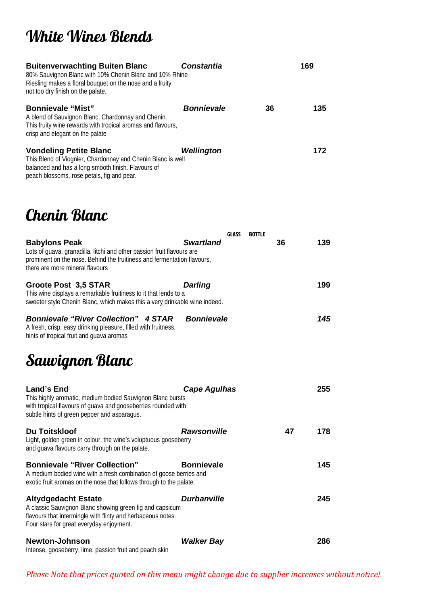# White Wines Blends

| <b>Buitenverwachting Buiten Blanc</b><br>80% Sauvignon Blanc with 10% Chenin Blanc and 10% Rhine<br>Riesling makes a floral bouquet on the nose and a fruity<br>not too dry finish on the palate. | <b>Constantia</b> |    | 169 |
|---------------------------------------------------------------------------------------------------------------------------------------------------------------------------------------------------|-------------------|----|-----|
| <b>Bonnievale "Mist"</b><br>A blend of Sauvignon Blanc, Chardonnay and Chenin.<br>This fruity wine rewards with tropical aromas and flavours,<br>crisp and elegant on the palate                  | <b>Bonnievale</b> | 36 | 135 |
| <b>Vondeling Petite Blanc</b><br>This Blend of Viognier, Chardonnay and Chenin Blanc is well<br>balanced and has a long smooth finish. Flavours of<br>peach blossoms, rose petals, fig and pear.  | Wellington        |    | 172 |

#### Chenin Blanc

|                                                                                                                                                                                                              | <b>GLASS</b>        | <b>BOTTLE</b> |    |     |
|--------------------------------------------------------------------------------------------------------------------------------------------------------------------------------------------------------------|---------------------|---------------|----|-----|
| <b>Babylons Peak</b><br>Lots of guava, granadilla, litchi and other passion fruit flavours are<br>prominent on the nose. Behind the fruitiness and fermentation flavours,<br>there are more mineral flavours | <b>Swartland</b>    |               | 36 | 139 |
| <b>Groote Post 3,5 STAR</b><br>This wine displays a remarkable fruitiness to it that lends to a<br>sweeter style Chenin Blanc, which makes this a very drinkable wine indeed.                                | Darling             |               |    | 199 |
| <b>Bonnievale "River Collection" 4 STAR</b><br>A fresh, crisp, easy drinking pleasure, filled with fruitness,<br>hints of tropical fruit and guava aromas                                                    | <b>Bonnievale</b>   |               |    | 145 |
| Sauvignon Blanc                                                                                                                                                                                              |                     |               |    |     |
| <b>Land's End</b><br>This highly aromatic, medium bodied Sauvignon Blanc bursts<br>with tropical flavours of guava and gooseberries rounded with<br>subtle hints of green pepper and asparagus.              | <b>Cape Agulhas</b> |               |    | 255 |
| <b>Du Toitskloof</b><br>Light, golden green in colour, the wine's voluptuous gooseberry<br>and guava flavours carry through on the palate.                                                                   | <b>Rawsonville</b>  |               | 47 | 178 |
| <b>Bonnievale "River Collection"</b><br>A medium bodied wine with a fresh combination of goose berries and<br>exotic fruit aromas on the nose that follows through to the palate.                            | <b>Bonnievale</b>   |               |    | 145 |
| <b>Altydgedacht Estate</b><br>A classic Sauvignon Blanc showing green fig and capsicum                                                                                                                       | <b>Durbanville</b>  |               |    | 245 |

Four stars for great everyday enjoyment. Newton-Johnson Walker Bay 286 Intense, gooseberry, lime, passion fruit and peach skin

flavours that intermingle with flinty and herbaceous notes.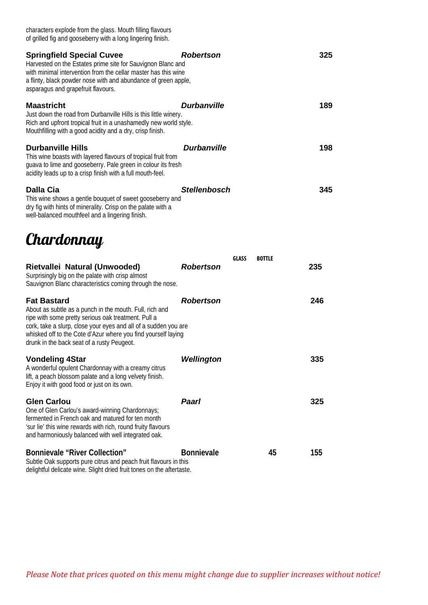| characters explode from the glass. Mouth filling flavours<br>of grilled fig and gooseberry with a long lingering finish.                                                                                                                                                                                               |                     |                               |     |
|------------------------------------------------------------------------------------------------------------------------------------------------------------------------------------------------------------------------------------------------------------------------------------------------------------------------|---------------------|-------------------------------|-----|
| <b>Springfield Special Cuvee</b><br>Harvested on the Estates prime site for Sauvignon Blanc and<br>with minimal intervention from the cellar master has this wine<br>a flinty, black powder nose with and abundance of green apple,<br>asparagus and grapefruit flavours.                                              | <b>Robertson</b>    |                               | 325 |
| <b>Maastricht</b><br>Just down the road from Durbanville Hills is this little winery.<br>Rich and upfront tropical fruit in a unashamedly new world style.<br>Mouthfilling with a good acidity and a dry, crisp finish.                                                                                                | <b>Durbanville</b>  |                               | 189 |
| <b>Durbanville Hills</b><br>This wine boasts with layered flavours of tropical fruit from<br>guava to lime and gooseberry. Pale green in colour its fresh<br>acidity leads up to a crisp finish with a full mouth-feel.                                                                                                | <b>Durbanville</b>  |                               | 198 |
| Dalla Cia<br>This wine shows a gentle bouquet of sweet gooseberry and<br>dry fig with hints of minerality. Crisp on the palate with a<br>well-balanced mouthfeel and a lingering finish.                                                                                                                               | <b>Stellenbosch</b> |                               | 345 |
| Chardonnay                                                                                                                                                                                                                                                                                                             |                     |                               |     |
| Rietvallei Natural (Unwooded)<br>Surprisingly big on the palate with crisp almost<br>Sauvignon Blanc characteristics coming through the nose.                                                                                                                                                                          | <b>Robertson</b>    | <b>GLASS</b><br><b>BOTTLE</b> | 235 |
| <b>Fat Bastard</b><br>About as subtle as a punch in the mouth. Full, rich and<br>ripe with some pretty serious oak treatment. Pull a<br>cork, take a slurp, close your eyes and all of a sudden you are<br>whisked off to the Cote d'Azur where you find yourself laying<br>drunk in the back seat of a rusty Peugeot. | <b>Robertson</b>    |                               | 246 |
| <b>Vondeling 4Star</b><br>A wonderful opulent Chardonnay with a creamy citrus<br>lift, a peach blossom palate and a long velvety finish.<br>Enjoy it with good food or just on its own.                                                                                                                                | Wellington          |                               | 335 |
| <b>Glen Carlou</b><br>One of Glen Carlou's award-winning Chardonnays;<br>fermented in French oak and matured for ten month<br>'sur lie' this wine rewards with rich, round fruity flavours<br>and harmoniously balanced with well integrated oak.                                                                      | Paarl               |                               | 325 |
| <b>Bonnievale "River Collection"</b><br>Subtle Oak supports pure citrus and peach fruit flavours in this<br>delightful delicate wine. Slight dried fruit tones on the aftertaste.                                                                                                                                      | <b>Bonnievale</b>   | 45                            | 155 |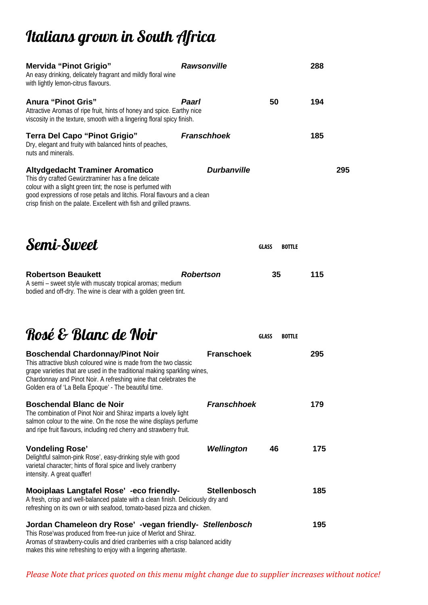# Italians grown in South Africa

| Mervida "Pinot Grigio"<br>An easy drinking, delicately fragrant and mildly floral wine<br>with lightly lemon-citrus flavours.                                                                                                                                                                                        | <b>Rawsonville</b>  |                               | 288 |     |
|----------------------------------------------------------------------------------------------------------------------------------------------------------------------------------------------------------------------------------------------------------------------------------------------------------------------|---------------------|-------------------------------|-----|-----|
| <b>Anura "Pinot Gris"</b><br>Attractive Aromas of ripe fruit, hints of honey and spice. Earthy nice<br>viscosity in the texture, smooth with a lingering floral spicy finish.                                                                                                                                        | Paarl               | 50                            | 194 |     |
| <b>Terra Del Capo "Pinot Grigio"</b><br>Dry, elegant and fruity with balanced hints of peaches,<br>nuts and minerals.                                                                                                                                                                                                | <b>Franschhoek</b>  |                               | 185 |     |
| <b>Altydgedacht Traminer Aromatico</b><br>This dry crafted Gewürztraminer has a fine delicate<br>colour with a slight green tint; the nose is perfumed with<br>good expressions of rose petals and litchis. Floral flavours and a clean<br>crisp finish on the palate. Excellent with fish and grilled prawns.       | <b>Durbanville</b>  |                               |     | 295 |
| Semi-Sweet                                                                                                                                                                                                                                                                                                           |                     | <b>GLASS</b><br><b>BOTTLE</b> |     |     |
| <b>Robertson Beaukett</b><br>A semi - sweet style with muscaty tropical aromas; medium<br>bodied and off-dry. The wine is clear with a golden green tint.                                                                                                                                                            | <b>Robertson</b>    | 35                            | 115 |     |
| Rosé & Blanc de Noir                                                                                                                                                                                                                                                                                                 |                     | <b>GLASS</b><br><b>BOTTLE</b> |     |     |
| <b>Boschendal Chardonnay/Pinot Noir</b><br>This attractive blush coloured wine is made from the two classic<br>grape varieties that are used in the traditional making sparkling wines,<br>Chardonnay and Pinot Noir. A refreshing wine that celebrates the<br>Golden era of 'La Bella Époque' - The beautiful time. | <b>Franschoek</b>   |                               | 295 |     |
| <b>Boschendal Blanc de Noir</b><br>The combination of Pinot Noir and Shiraz imparts a lovely light<br>salmon colour to the wine. On the nose the wine displays perfume<br>and ripe fruit flavours, including red cherry and strawberry fruit.                                                                        | <b>Franschhoek</b>  |                               | 179 |     |
| <b>Vondeling Rose'</b><br>Delightful salmon-pink Rose', easy-drinking style with good<br>varietal character; hints of floral spice and lively cranberry<br>intensity. A great quaffer!                                                                                                                               | Wellington          | 46                            | 175 |     |
| Mooiplaas Langtafel Rose' -eco friendly-<br>A fresh, crisp and well-balanced palate with a clean finish. Deliciously dry and<br>refreshing on its own or with seafood, tomato-based pizza and chicken.                                                                                                               | <b>Stellenbosch</b> |                               | 185 |     |
| Jordan Chameleon dry Rose' - vegan friendly- Stellenbosch<br>This Rose'was produced from free-run juice of Merlot and Shiraz.<br>Aromas of strawberry-coulis and dried cranberries with a crisp balanced acidity<br>makes this wine refreshing to enjoy with a lingering aftertaste.                                 |                     |                               | 195 |     |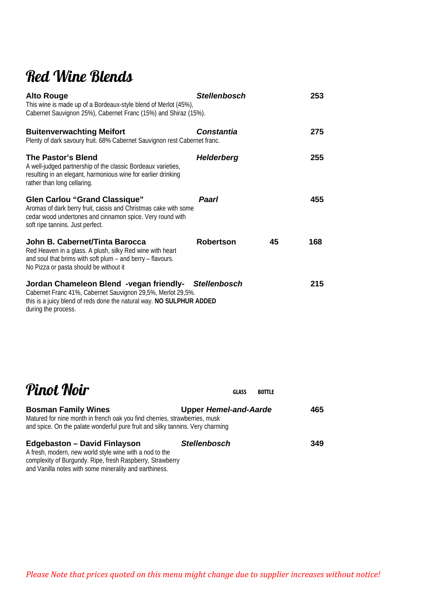## Red Wine Blends

| <b>Alto Rouge</b><br>This wine is made up of a Bordeaux-style blend of Merlot (45%),<br>Cabernet Sauvignon 25%), Cabernet Franc (15%) and Shiraz (15%).                                                            | <b>Stellenbosch</b> |    | 253 |
|--------------------------------------------------------------------------------------------------------------------------------------------------------------------------------------------------------------------|---------------------|----|-----|
| <b>Buitenverwachting Meifort</b><br>Plenty of dark savoury fruit. 68% Cabernet Sauvignon rest Cabernet franc.                                                                                                      | <b>Constantia</b>   |    | 275 |
| <b>The Pastor's Blend</b><br>A well-judged partnership of the classic Bordeaux varieties,<br>resulting in an elegant, harmonious wine for earlier drinking<br>rather than long cellaring.                          | <b>Helderberg</b>   |    | 255 |
| <b>Glen Carlou "Grand Classique"</b><br>Aromas of dark berry fruit, cassis and Christmas cake with some<br>cedar wood undertones and cinnamon spice. Very round with<br>soft ripe tannins. Just perfect.           | Paarl               |    | 455 |
| John B. Cabernet/Tinta Barocca<br>Red Heaven in a glass. A plush, silky Red wine with heart<br>and soul that brims with soft plum $-$ and berry $-$ flavours.<br>No Pizza or pasta should be without it            | <b>Robertson</b>    | 45 | 168 |
| Jordan Chameleon Blend -vegan friendly- Stellenbosch<br>Cabernet Franc 41%, Cabernet Sauvignon 29,5%, Merlot 29,5%.<br>this is a juicy blend of reds done the natural way. NO SULPHUR ADDED<br>during the process. |                     |    | 215 |

| Pinot Noir                                                                                                                                                                                                            | <b>GLASS</b>                 | <b>BOTTLE</b> |
|-----------------------------------------------------------------------------------------------------------------------------------------------------------------------------------------------------------------------|------------------------------|---------------|
| <b>Bosman Family Wines</b><br>Matured for nine month in french oak you find cherries, strawberries, musk<br>and spice. On the palate wonderful pure fruit and silky tannins. Very charming                            | <b>Upper Hemel-and-Aarde</b> | 465           |
| <b>Edgebaston - David Finlayson</b><br>A fresh, modern, new world style wine with a nod to the<br>complexity of Burgundy. Ripe, fresh Raspberry, Strawberry<br>and Vanilla notes with some minerality and earthiness. | <b>Stellenbosch</b>          | 349           |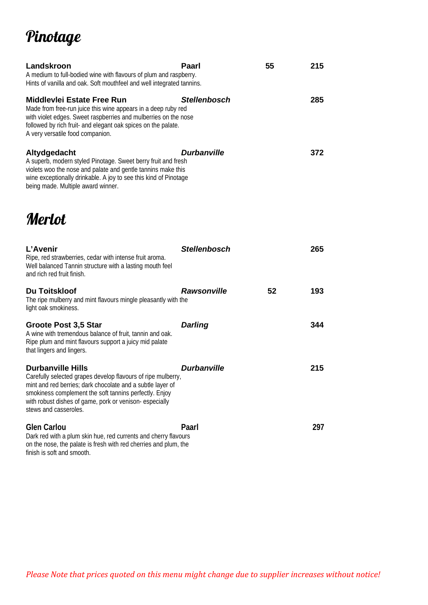# Pinotage

| Landskroon<br>A medium to full-bodied wine with flavours of plum and raspberry.<br>Hints of vanilla and oak. Soft mouthfeel and well integrated tannins.                                                                                                            | Paarl                     | 55 | 215 |
|---------------------------------------------------------------------------------------------------------------------------------------------------------------------------------------------------------------------------------------------------------------------|---------------------------|----|-----|
| Middlevlei Estate Free Run<br>Made from free-run juice this wine appears in a deep ruby red<br>with violet edges. Sweet raspberries and mulberries on the nose<br>followed by rich fruit- and elegant oak spices on the palate.<br>A very versatile food companion. | <b>Stellenbosch</b>       |    | 285 |
| Altydgedacht<br>A superb, modern styled Pinotage. Sweet berry fruit and fresh<br>violets woo the nose and palate and gentle tannins make this<br>wine exceptionally drinkable. A joy to see this kind of Pinotage<br>being made. Multiple award winner.             | <i><b>Durbanville</b></i> |    | 372 |
| <i>Merlot</i>                                                                                                                                                                                                                                                       |                           |    |     |

| L'Avenir<br>Ripe, red strawberries, cedar with intense fruit aroma.<br>Well balanced Tannin structure with a lasting mouth feel<br>and rich red fruit finish.                                                                                                                                       | <b>Stellenbosch</b> |    | 265 |
|-----------------------------------------------------------------------------------------------------------------------------------------------------------------------------------------------------------------------------------------------------------------------------------------------------|---------------------|----|-----|
| Du Toitskloof<br>The ripe mulberry and mint flavours mingle pleasantly with the<br>light oak smokiness.                                                                                                                                                                                             | <b>Rawsonville</b>  | 52 | 193 |
| <b>Groote Post 3,5 Star</b><br>A wine with tremendous balance of fruit, tannin and oak.<br>Ripe plum and mint flavours support a juicy mid palate<br>that lingers and lingers.                                                                                                                      | Darling             |    | 344 |
| <b>Durbanville Hills</b><br>Carefully selected grapes develop flavours of ripe mulberry,<br>mint and red berries; dark chocolate and a subtle layer of<br>smokiness complement the soft tannins perfectly. Enjoy<br>with robust dishes of game, pork or venison-especially<br>stews and casseroles. | <b>Durbanville</b>  |    | 215 |
| <b>Glen Carlou</b><br>Dark red with a plum skin hue, red currents and cherry flavours<br>on the nose, the palate is fresh with red cherries and plum, the                                                                                                                                           | Paarl               |    | 297 |

finish is soft and smooth.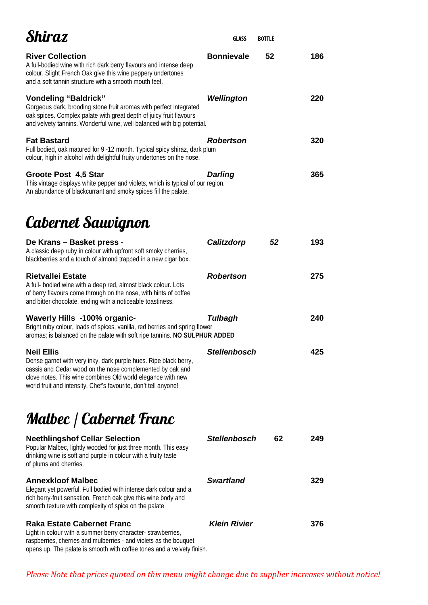| Shiraz                                                                                                                                                                                                                                                                               | GLASS               | <b>BOTTLE</b> |     |
|--------------------------------------------------------------------------------------------------------------------------------------------------------------------------------------------------------------------------------------------------------------------------------------|---------------------|---------------|-----|
| <b>River Collection</b><br>A full-bodied wine with rich dark berry flavours and intense deep<br>colour. Slight French Oak give this wine peppery undertones<br>and a soft tannin structure with a smooth mouth feel.                                                                 | <b>Bonnievale</b>   | 52            | 186 |
| <b>Vondeling "Baldrick"</b><br>Gorgeous dark, brooding stone fruit aromas with perfect integrated<br>oak spices. Complex palate with great depth of juicy fruit flavours<br>and velvety tannins. Wonderful wine, well balanced with big potential.                                   | Wellington          |               | 220 |
| <b>Fat Bastard</b><br>Full bodied, oak matured for 9 -12 month. Typical spicy shiraz, dark plum<br>colour, high in alcohol with delightful fruity undertones on the nose.                                                                                                            | Robertson           |               | 320 |
| Groote Post 4,5 Star<br>This vintage displays white pepper and violets, which is typical of our region.<br>An abundance of blackcurrant and smoky spices fill the palate.                                                                                                            | <b>Darling</b>      |               | 365 |
| Cabernet Sauvignon                                                                                                                                                                                                                                                                   |                     |               |     |
| De Krans - Basket press -<br>A classic deep ruby in colour with upfront soft smoky cherries,<br>blackberries and a touch of almond trapped in a new cigar box.                                                                                                                       | Calitzdorp          | 52            | 193 |
| <b>Rietvallei Estate</b><br>A full- bodied wine with a deep red, almost black colour. Lots<br>of berry flavours come through on the nose, with hints of coffee<br>and bitter chocolate, ending with a noticeable toastiness.                                                         | Robertson           |               | 275 |
| Waverly Hills -100% organic-<br>Bright ruby colour, loads of spices, vanilla, red berries and spring flower<br>aromas; is balanced on the palate with soft ripe tannins. NO SULPHUR ADDED                                                                                            | Tulbagh             |               | 240 |
| <b>Neil Ellis</b><br>Dense garnet with very inky, dark purple hues. Ripe black berry,<br>cassis and Cedar wood on the nose complemented by oak and<br>clove notes. This wine combines Old world elegance with new<br>world fruit and intensity. Chef's favourite, don't tell anyone! | <b>Stellenbosch</b> |               | 425 |

# Malbec / Cabernet Franc

| <b>Neethlingshof Cellar Selection</b><br>Popular Malbec, lightly wooded for just three month. This easy<br>drinking wine is soft and purple in colour with a fruity taste<br>of plums and cherries.                     | <b>Stellenbosch</b> | 62 | 249 |
|-------------------------------------------------------------------------------------------------------------------------------------------------------------------------------------------------------------------------|---------------------|----|-----|
| <b>Annexkloof Malbec</b><br>Elegant yet powerful. Full bodied with intense dark colour and a<br>rich berry-fruit sensation. French oak give this wine body and<br>smooth texture with complexity of spice on the palate | <b>Swartland</b>    |    | 329 |
| Raka Estate Cabernet Franc<br>Light in colour with a summer berry character-strawberries,<br>raspberries, cherries and mulberries - and violets as the bouquet                                                          | <b>Klein Rivier</b> |    | 376 |

opens up. The palate is smooth with coffee tones and a velvety finish.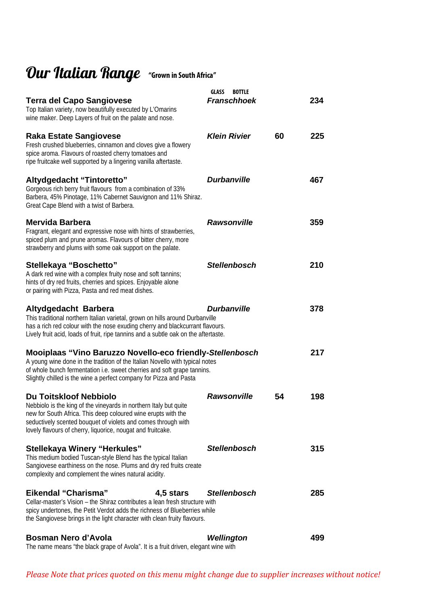# Our Italian Range "Grown in South Africa"

| Terra del Capo Sangiovese<br>Top Italian variety, now beautifully executed by L'Omarins<br>wine maker. Deep Layers of fruit on the palate and nose.                                                                                                                                                 | GLASS<br><b>BOTTLE</b><br><b>Franschhoek</b> |    | 234 |
|-----------------------------------------------------------------------------------------------------------------------------------------------------------------------------------------------------------------------------------------------------------------------------------------------------|----------------------------------------------|----|-----|
| <b>Raka Estate Sangiovese</b><br>Fresh crushed blueberries, cinnamon and cloves give a flowery<br>spice aroma. Flavours of roasted cherry tomatoes and<br>ripe fruitcake well supported by a lingering vanilla aftertaste.                                                                          | <b>Klein Rivier</b>                          | 60 | 225 |
| Altydgedacht "Tintoretto"<br>Gorgeous rich berry fruit flavours from a combination of 33%<br>Barbera, 45% Pinotage, 11% Cabernet Sauvignon and 11% Shiraz.<br>Great Cape Blend with a twist of Barbera.                                                                                             | <b>Durbanville</b>                           |    | 467 |
| Mervida Barbera<br>Fragrant, elegant and expressive nose with hints of strawberries,<br>spiced plum and prune aromas. Flavours of bitter cherry, more<br>strawberry and plums with some oak support on the palate.                                                                                  | <b>Rawsonville</b>                           |    | 359 |
| Stellekaya "Boschetto"<br>A dark red wine with a complex fruity nose and soft tannins;<br>hints of dry red fruits, cherries and spices. Enjoyable alone<br>or pairing with Pizza, Pasta and red meat dishes.                                                                                        | <b>Stellenbosch</b>                          |    | 210 |
| Altydgedacht Barbera<br>This traditional northern Italian varietal, grown on hills around Durbanville<br>has a rich red colour with the nose exuding cherry and blackcurrant flavours.<br>Lively fruit acid, loads of fruit, ripe tannins and a subtle oak on the aftertaste.                       | <b>Durbanville</b>                           |    | 378 |
| Mooiplaas "Vino Baruzzo Novello-eco friendly-Stellenbosch<br>A young wine done in the tradition of the Italian Novello with typical notes<br>of whole bunch fermentation i.e. sweet cherries and soft grape tannins.<br>Slightly chilled is the wine a perfect company for Pizza and Pasta          |                                              |    | 217 |
| <b>Du Toitskloof Nebbiolo</b><br>Nebbiolo is the king of the vineyards in northern Italy but quite<br>new for South Africa. This deep coloured wine erupts with the<br>seductively scented bouquet of violets and comes through with<br>lovely flavours of cherry, liquorice, nougat and fruitcake. | <b>Rawsonville</b>                           | 54 | 198 |
| <b>Stellekaya Winery "Herkules"</b><br>This medium bodied Tuscan-style Blend has the typical Italian<br>Sangiovese earthiness on the nose. Plums and dry red fruits create<br>complexity and complement the wines natural acidity.                                                                  | <b>Stellenbosch</b>                          |    | 315 |
| Eikendal "Charisma"<br>4,5 stars<br>Cellar-master's Vision – the Shiraz contributes a lean fresh structure with<br>spicy undertones, the Petit Verdot adds the richness of Blueberries while<br>the Sangiovese brings in the light character with clean fruity flavours.                            | <b>Stellenbosch</b>                          |    | 285 |
| Bosman Nero d'Avola<br>The name means "the black grape of Avola". It is a fruit driven, elegant wine with                                                                                                                                                                                           | Wellington                                   |    | 499 |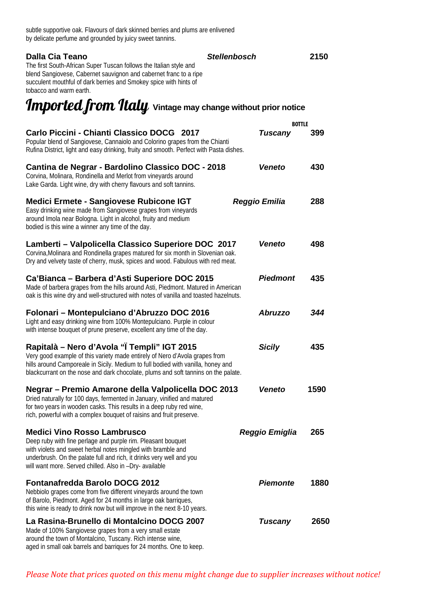| subtle supportive oak. Flavours of dark skinned berries and plums are enlivened |
|---------------------------------------------------------------------------------|
| by delicate perfume and grounded by juicy sweet tannins.                        |

| Dalla Cia Teano<br>The first South-African Super Tuscan follows the Italian style and<br>blend Sangiovese, Cabernet sauvignon and cabernet franc to a ripe<br>succulent mouthful of dark berries and Smokey spice with hints of<br>tobacco and warm earth.                                            | <b>Stellenbosch</b> |                 | 2150 |
|-------------------------------------------------------------------------------------------------------------------------------------------------------------------------------------------------------------------------------------------------------------------------------------------------------|---------------------|-----------------|------|
| Imported from Italy Vintage may change without prior notice                                                                                                                                                                                                                                           |                     |                 |      |
|                                                                                                                                                                                                                                                                                                       |                     | <b>BOTTLE</b>   |      |
| Carlo Piccini - Chianti Classico DOCG 2017<br>Popular blend of Sangiovese, Cannaiolo and Colorino grapes from the Chianti<br>Rufina District, light and easy drinking, fruity and smooth. Perfect with Pasta dishes.                                                                                  |                     | <b>Tuscany</b>  | 399  |
| Cantina de Negrar - Bardolino Classico DOC - 2018<br>Corvina, Molinara, Rondinella and Merlot from vineyards around<br>Lake Garda. Light wine, dry with cherry flavours and soft tannins.                                                                                                             |                     | <b>Veneto</b>   | 430  |
| <b>Medici Ermete - Sangiovese Rubicone IGT</b><br>Easy drinking wine made from Sangiovese grapes from vineyards<br>around Imola near Bologna. Light in alcohol, fruity and medium<br>bodied is this wine a winner any time of the day.                                                                |                     | Reggio Emilia   | 288  |
| Lamberti - Valpolicella Classico Superiore DOC 2017<br>Corvina, Molinara and Rondinella grapes matured for six month in Slovenian oak.<br>Dry and velvety taste of cherry, musk, spices and wood. Fabulous with red meat.                                                                             |                     | <b>Veneto</b>   | 498  |
| Ca'Bianca - Barbera d'Asti Superiore DOC 2015<br>Made of barbera grapes from the hills around Asti, Piedmont. Matured in American<br>oak is this wine dry and well-structured with notes of vanilla and toasted hazelnuts.                                                                            |                     | <b>Piedmont</b> | 435  |
| Folonari - Montepulciano d'Abruzzo DOC 2016<br>Light and easy drinking wine from 100% Montepulciano. Purple in colour<br>with intense bouquet of prune preserve, excellent any time of the day.                                                                                                       |                     | <b>Abruzzo</b>  | 344  |
| Rapitalà – Nero d'Avola "I Templi" IGT 2015<br>Very good example of this variety made entirely of Nero d'Avola grapes from<br>hills around Camporeale in Sicily. Medium to full bodied with vanilla, honey and<br>blackcurrant on the nose and dark chocolate, plums and soft tannins on the palate.  |                     | <b>Sicily</b>   | 435  |
| Negrar – Premio Amarone della Valpolicella DOC 2013<br>Dried naturally for 100 days, fermented in January, vinified and matured<br>for two years in wooden casks. This results in a deep ruby red wine,<br>rich, powerful with a complex bouquet of raisins and fruit preserve.                       |                     | <b>Veneto</b>   | 1590 |
| <b>Medici Vino Rosso Lambrusco</b><br>Deep ruby with fine perlage and purple rim. Pleasant bouquet<br>with violets and sweet herbal notes mingled with bramble and<br>underbrush. On the palate full and rich, it drinks very well and you<br>will want more. Served chilled. Also in -Dry- available |                     | Reggio Emiglia  | 265  |
| <b>Fontanafredda Barolo DOCG 2012</b><br>Nebbiolo grapes come from five different vineyards around the town<br>of Barolo, Piedmont. Aged for 24 months in large oak barriques,<br>this wine is ready to drink now but will improve in the next 8-10 years.                                            |                     | <b>Piemonte</b> | 1880 |
| La Rasina-Brunello di Montalcino DOCG 2007<br>Made of 100% Sangiovese grapes from a very small estate<br>around the town of Montalcino, Tuscany. Rich intense wine,<br>aged in small oak barrels and barriques for 24 months. One to keep.                                                            |                     | <b>Tuscany</b>  | 2650 |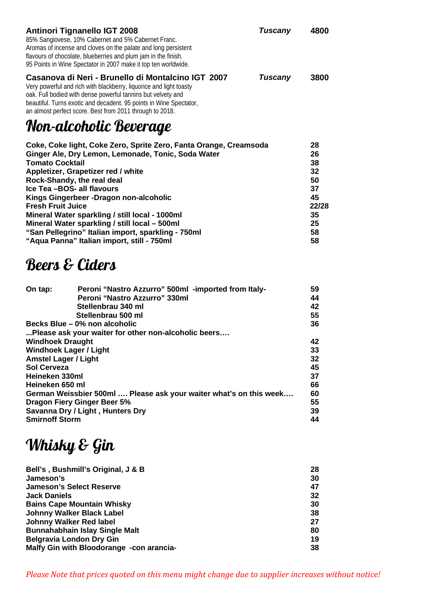| <b>Antinori Tignanello IGT 2008</b><br>85% Sangiovese, 10% Cabernet and 5% Cabernet Franc.<br>Aromas of incense and cloves on the palate and long persistent<br>flavours of chocolate, blueberries and plum jam in the finish.<br>95 Points in Wine Spectator in 2007 make it top ten worldwide.                                                                                                                                                                                                                                  | Tuscany | 4800                                                                    |
|-----------------------------------------------------------------------------------------------------------------------------------------------------------------------------------------------------------------------------------------------------------------------------------------------------------------------------------------------------------------------------------------------------------------------------------------------------------------------------------------------------------------------------------|---------|-------------------------------------------------------------------------|
| Casanova di Neri - Brunello di Montalcino IGT 2007<br>Very powerful and rich with blackberry, liquorice and light toasty<br>oak. Full bodied with dense powerful tannins but velvety and<br>beautiful. Turns exotic and decadent. 95 points in Wine Spectator,<br>an almost perfect score. Best from 2011 through to 2018.                                                                                                                                                                                                        | Tuscany | 3800                                                                    |
| Non-alcoholic Beverage                                                                                                                                                                                                                                                                                                                                                                                                                                                                                                            |         |                                                                         |
| Coke, Coke light, Coke Zero, Sprite Zero, Fanta Orange, Creamsoda<br>Ginger Ale, Dry Lemon, Lemonade, Tonic, Soda Water<br><b>Tomato Cocktail</b><br>Appletizer, Grapetizer red / white<br>Rock-Shandy, the real deal<br>Ice Tea -BOS- all flavours<br>Kings Gingerbeer - Dragon non-alcoholic<br><b>Fresh Fruit Juice</b><br>Mineral Water sparkling / still local - 1000ml<br>Mineral Water sparkling / still local - 500ml<br>"San Pellegrino" Italian import, sparkling - 750ml<br>"Aqua Panna" Italian import, still - 750ml |         | 28<br>26<br>38<br>32<br>50<br>37<br>45<br>22/28<br>35<br>25<br>58<br>58 |
|                                                                                                                                                                                                                                                                                                                                                                                                                                                                                                                                   |         |                                                                         |

#### Beers & Ciders

| On tap:                     | Peroni "Nastro Azzurro" 500ml - imported from Italy-               | 59 |
|-----------------------------|--------------------------------------------------------------------|----|
|                             | Peroni "Nastro Azzurro" 330ml                                      | 44 |
|                             | Stellenbrau 340 ml                                                 | 42 |
|                             | Stellenbrau 500 ml                                                 | 55 |
|                             | Becks Blue – 0% non alcoholic                                      | 36 |
|                             | Please ask your waiter for other non-alcoholic beers               |    |
| <b>Windhoek Draught</b>     |                                                                    | 42 |
|                             | <b>Windhoek Lager / Light</b>                                      | 33 |
| <b>Amstel Lager / Light</b> |                                                                    | 32 |
| Sol Cerveza                 |                                                                    | 45 |
| Heineken 330ml              |                                                                    | 37 |
| Heineken 650 ml             |                                                                    | 66 |
|                             | German Weissbier 500ml  Please ask your waiter what's on this week | 60 |
|                             | <b>Dragon Fiery Ginger Beer 5%</b>                                 | 55 |
|                             | Savanna Dry / Light, Hunters Dry                                   | 39 |
| <b>Smirnoff Storm</b>       |                                                                    | 44 |

# Whisky & Gin

| Bell's, Bushmill's Original, J & B       | 28 |
|------------------------------------------|----|
| Jameson's                                | 30 |
| <b>Jameson's Select Reserve</b>          | 47 |
| <b>Jack Daniels</b>                      | 32 |
| <b>Bains Cape Mountain Whisky</b>        | 30 |
| <b>Johnny Walker Black Label</b>         | 38 |
| <b>Johnny Walker Red label</b>           | 27 |
| <b>Bunnahabhain Islay Single Malt</b>    | 80 |
| <b>Belgravia London Dry Gin</b>          | 19 |
| Malfy Gin with Bloodorange -con arancia- | 38 |
|                                          |    |